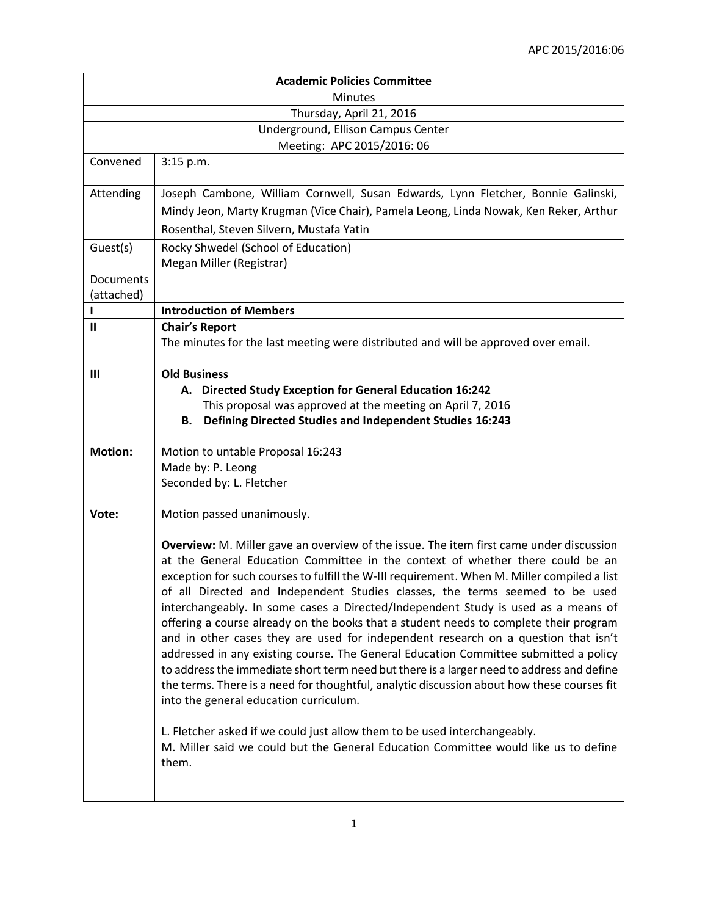| <b>Academic Policies Committee</b>                                                                                                                                                                                                                                                                                                                                                                                                                                                                                                                                                                                                                                                                                                                                                                                                                                                                                                                                                                                                                                                                                                            |  |  |
|-----------------------------------------------------------------------------------------------------------------------------------------------------------------------------------------------------------------------------------------------------------------------------------------------------------------------------------------------------------------------------------------------------------------------------------------------------------------------------------------------------------------------------------------------------------------------------------------------------------------------------------------------------------------------------------------------------------------------------------------------------------------------------------------------------------------------------------------------------------------------------------------------------------------------------------------------------------------------------------------------------------------------------------------------------------------------------------------------------------------------------------------------|--|--|
| <b>Minutes</b>                                                                                                                                                                                                                                                                                                                                                                                                                                                                                                                                                                                                                                                                                                                                                                                                                                                                                                                                                                                                                                                                                                                                |  |  |
| Thursday, April 21, 2016                                                                                                                                                                                                                                                                                                                                                                                                                                                                                                                                                                                                                                                                                                                                                                                                                                                                                                                                                                                                                                                                                                                      |  |  |
| Underground, Ellison Campus Center                                                                                                                                                                                                                                                                                                                                                                                                                                                                                                                                                                                                                                                                                                                                                                                                                                                                                                                                                                                                                                                                                                            |  |  |
| Meeting: APC 2015/2016: 06                                                                                                                                                                                                                                                                                                                                                                                                                                                                                                                                                                                                                                                                                                                                                                                                                                                                                                                                                                                                                                                                                                                    |  |  |
| 3:15 p.m.                                                                                                                                                                                                                                                                                                                                                                                                                                                                                                                                                                                                                                                                                                                                                                                                                                                                                                                                                                                                                                                                                                                                     |  |  |
| Joseph Cambone, William Cornwell, Susan Edwards, Lynn Fletcher, Bonnie Galinski,                                                                                                                                                                                                                                                                                                                                                                                                                                                                                                                                                                                                                                                                                                                                                                                                                                                                                                                                                                                                                                                              |  |  |
| Mindy Jeon, Marty Krugman (Vice Chair), Pamela Leong, Linda Nowak, Ken Reker, Arthur                                                                                                                                                                                                                                                                                                                                                                                                                                                                                                                                                                                                                                                                                                                                                                                                                                                                                                                                                                                                                                                          |  |  |
| Rosenthal, Steven Silvern, Mustafa Yatin                                                                                                                                                                                                                                                                                                                                                                                                                                                                                                                                                                                                                                                                                                                                                                                                                                                                                                                                                                                                                                                                                                      |  |  |
| Rocky Shwedel (School of Education)                                                                                                                                                                                                                                                                                                                                                                                                                                                                                                                                                                                                                                                                                                                                                                                                                                                                                                                                                                                                                                                                                                           |  |  |
| Megan Miller (Registrar)                                                                                                                                                                                                                                                                                                                                                                                                                                                                                                                                                                                                                                                                                                                                                                                                                                                                                                                                                                                                                                                                                                                      |  |  |
|                                                                                                                                                                                                                                                                                                                                                                                                                                                                                                                                                                                                                                                                                                                                                                                                                                                                                                                                                                                                                                                                                                                                               |  |  |
| <b>Introduction of Members</b>                                                                                                                                                                                                                                                                                                                                                                                                                                                                                                                                                                                                                                                                                                                                                                                                                                                                                                                                                                                                                                                                                                                |  |  |
| <b>Chair's Report</b>                                                                                                                                                                                                                                                                                                                                                                                                                                                                                                                                                                                                                                                                                                                                                                                                                                                                                                                                                                                                                                                                                                                         |  |  |
| The minutes for the last meeting were distributed and will be approved over email.                                                                                                                                                                                                                                                                                                                                                                                                                                                                                                                                                                                                                                                                                                                                                                                                                                                                                                                                                                                                                                                            |  |  |
| <b>Old Business</b>                                                                                                                                                                                                                                                                                                                                                                                                                                                                                                                                                                                                                                                                                                                                                                                                                                                                                                                                                                                                                                                                                                                           |  |  |
| A. Directed Study Exception for General Education 16:242                                                                                                                                                                                                                                                                                                                                                                                                                                                                                                                                                                                                                                                                                                                                                                                                                                                                                                                                                                                                                                                                                      |  |  |
| This proposal was approved at the meeting on April 7, 2016                                                                                                                                                                                                                                                                                                                                                                                                                                                                                                                                                                                                                                                                                                                                                                                                                                                                                                                                                                                                                                                                                    |  |  |
| <b>Defining Directed Studies and Independent Studies 16:243</b><br>В.                                                                                                                                                                                                                                                                                                                                                                                                                                                                                                                                                                                                                                                                                                                                                                                                                                                                                                                                                                                                                                                                         |  |  |
| Motion to untable Proposal 16:243                                                                                                                                                                                                                                                                                                                                                                                                                                                                                                                                                                                                                                                                                                                                                                                                                                                                                                                                                                                                                                                                                                             |  |  |
| Made by: P. Leong                                                                                                                                                                                                                                                                                                                                                                                                                                                                                                                                                                                                                                                                                                                                                                                                                                                                                                                                                                                                                                                                                                                             |  |  |
| Seconded by: L. Fletcher                                                                                                                                                                                                                                                                                                                                                                                                                                                                                                                                                                                                                                                                                                                                                                                                                                                                                                                                                                                                                                                                                                                      |  |  |
|                                                                                                                                                                                                                                                                                                                                                                                                                                                                                                                                                                                                                                                                                                                                                                                                                                                                                                                                                                                                                                                                                                                                               |  |  |
| Motion passed unanimously.                                                                                                                                                                                                                                                                                                                                                                                                                                                                                                                                                                                                                                                                                                                                                                                                                                                                                                                                                                                                                                                                                                                    |  |  |
| <b>Overview:</b> M. Miller gave an overview of the issue. The item first came under discussion<br>at the General Education Committee in the context of whether there could be an<br>exception for such courses to fulfill the W-III requirement. When M. Miller compiled a list<br>of all Directed and Independent Studies classes, the terms seemed to be used<br>interchangeably. In some cases a Directed/Independent Study is used as a means of<br>offering a course already on the books that a student needs to complete their program<br>and in other cases they are used for independent research on a question that isn't<br>addressed in any existing course. The General Education Committee submitted a policy<br>to address the immediate short term need but there is a larger need to address and define<br>the terms. There is a need for thoughtful, analytic discussion about how these courses fit<br>into the general education curriculum.<br>L. Fletcher asked if we could just allow them to be used interchangeably.<br>M. Miller said we could but the General Education Committee would like us to define<br>them. |  |  |
|                                                                                                                                                                                                                                                                                                                                                                                                                                                                                                                                                                                                                                                                                                                                                                                                                                                                                                                                                                                                                                                                                                                                               |  |  |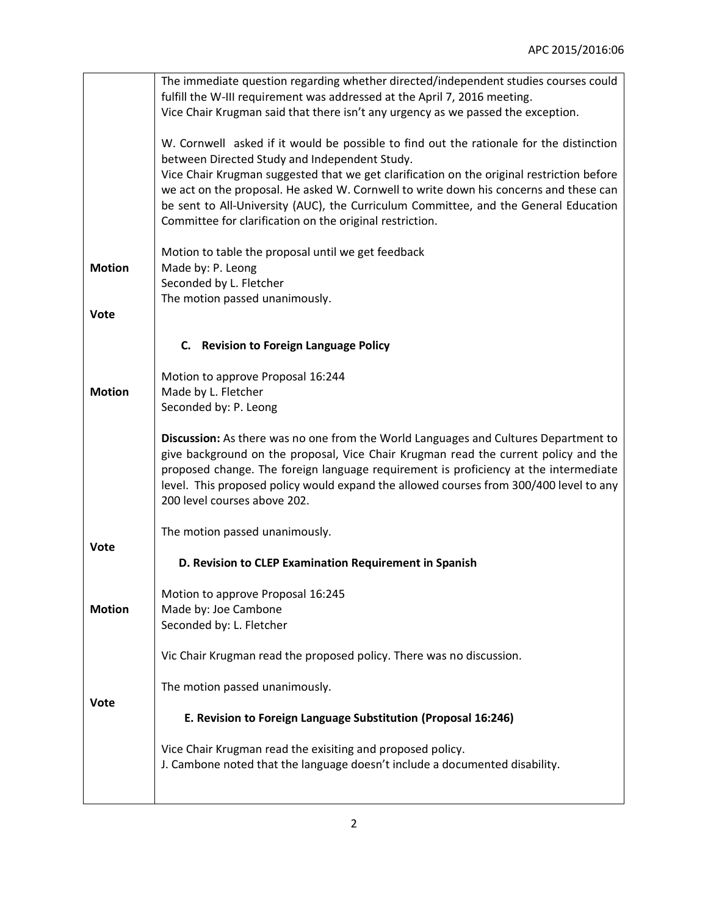|               | The immediate question regarding whether directed/independent studies courses could                                                                                                                                                                                                                                                                                                          |
|---------------|----------------------------------------------------------------------------------------------------------------------------------------------------------------------------------------------------------------------------------------------------------------------------------------------------------------------------------------------------------------------------------------------|
|               | fulfill the W-III requirement was addressed at the April 7, 2016 meeting.                                                                                                                                                                                                                                                                                                                    |
|               | Vice Chair Krugman said that there isn't any urgency as we passed the exception.                                                                                                                                                                                                                                                                                                             |
|               | W. Cornwell asked if it would be possible to find out the rationale for the distinction<br>between Directed Study and Independent Study.                                                                                                                                                                                                                                                     |
|               | Vice Chair Krugman suggested that we get clarification on the original restriction before                                                                                                                                                                                                                                                                                                    |
|               | we act on the proposal. He asked W. Cornwell to write down his concerns and these can                                                                                                                                                                                                                                                                                                        |
|               | be sent to All-University (AUC), the Curriculum Committee, and the General Education                                                                                                                                                                                                                                                                                                         |
|               | Committee for clarification on the original restriction.                                                                                                                                                                                                                                                                                                                                     |
| <b>Motion</b> | Motion to table the proposal until we get feedback<br>Made by: P. Leong                                                                                                                                                                                                                                                                                                                      |
|               | Seconded by L. Fletcher                                                                                                                                                                                                                                                                                                                                                                      |
|               | The motion passed unanimously.                                                                                                                                                                                                                                                                                                                                                               |
| <b>Vote</b>   |                                                                                                                                                                                                                                                                                                                                                                                              |
|               | C. Revision to Foreign Language Policy                                                                                                                                                                                                                                                                                                                                                       |
|               | Motion to approve Proposal 16:244                                                                                                                                                                                                                                                                                                                                                            |
| <b>Motion</b> | Made by L. Fletcher                                                                                                                                                                                                                                                                                                                                                                          |
|               | Seconded by: P. Leong                                                                                                                                                                                                                                                                                                                                                                        |
|               | Discussion: As there was no one from the World Languages and Cultures Department to<br>give background on the proposal, Vice Chair Krugman read the current policy and the<br>proposed change. The foreign language requirement is proficiency at the intermediate<br>level. This proposed policy would expand the allowed courses from 300/400 level to any<br>200 level courses above 202. |
|               |                                                                                                                                                                                                                                                                                                                                                                                              |
| <b>Vote</b>   | The motion passed unanimously.                                                                                                                                                                                                                                                                                                                                                               |
|               | D. Revision to CLEP Examination Requirement in Spanish                                                                                                                                                                                                                                                                                                                                       |
|               | Motion to approve Proposal 16:245                                                                                                                                                                                                                                                                                                                                                            |
| <b>Motion</b> | Made by: Joe Cambone                                                                                                                                                                                                                                                                                                                                                                         |
|               | Seconded by: L. Fletcher                                                                                                                                                                                                                                                                                                                                                                     |
|               | Vic Chair Krugman read the proposed policy. There was no discussion.                                                                                                                                                                                                                                                                                                                         |
| Vote          | The motion passed unanimously.                                                                                                                                                                                                                                                                                                                                                               |
|               | E. Revision to Foreign Language Substitution (Proposal 16:246)                                                                                                                                                                                                                                                                                                                               |
|               | Vice Chair Krugman read the exisiting and proposed policy.<br>J. Cambone noted that the language doesn't include a documented disability.                                                                                                                                                                                                                                                    |
|               |                                                                                                                                                                                                                                                                                                                                                                                              |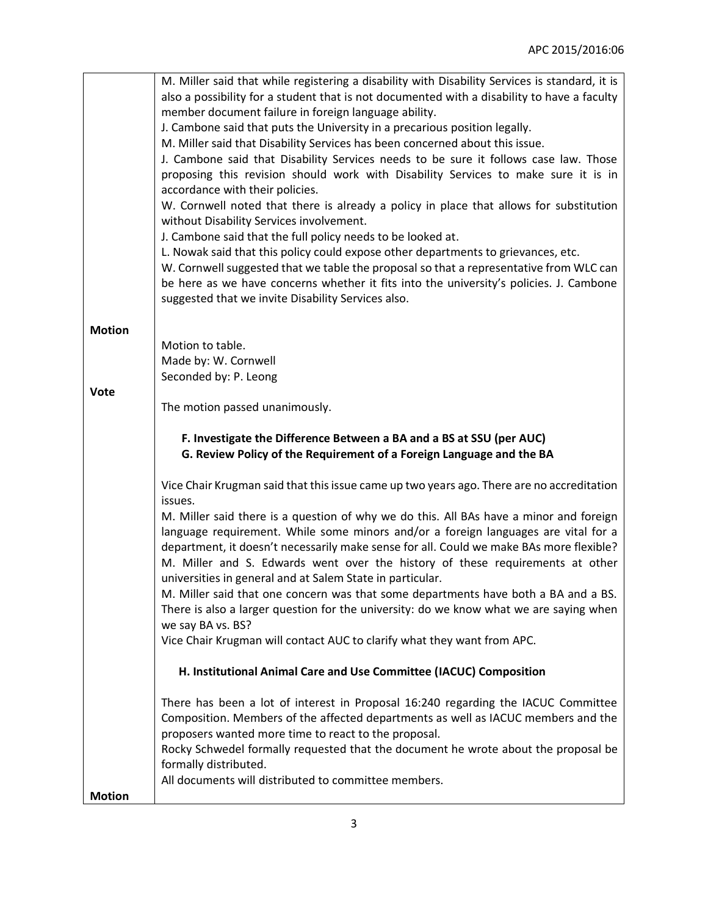|               | M. Miller said that while registering a disability with Disability Services is standard, it is |
|---------------|------------------------------------------------------------------------------------------------|
|               | also a possibility for a student that is not documented with a disability to have a faculty    |
|               | member document failure in foreign language ability.                                           |
|               | J. Cambone said that puts the University in a precarious position legally.                     |
|               | M. Miller said that Disability Services has been concerned about this issue.                   |
|               | J. Cambone said that Disability Services needs to be sure it follows case law. Those           |
|               | proposing this revision should work with Disability Services to make sure it is in             |
|               | accordance with their policies.                                                                |
|               | W. Cornwell noted that there is already a policy in place that allows for substitution         |
|               | without Disability Services involvement.                                                       |
|               | J. Cambone said that the full policy needs to be looked at.                                    |
|               | L. Nowak said that this policy could expose other departments to grievances, etc.              |
|               | W. Cornwell suggested that we table the proposal so that a representative from WLC can         |
|               | be here as we have concerns whether it fits into the university's policies. J. Cambone         |
|               | suggested that we invite Disability Services also.                                             |
|               |                                                                                                |
| <b>Motion</b> |                                                                                                |
|               | Motion to table.                                                                               |
|               | Made by: W. Cornwell                                                                           |
|               | Seconded by: P. Leong                                                                          |
| <b>Vote</b>   |                                                                                                |
|               | The motion passed unanimously.                                                                 |
|               |                                                                                                |
|               | F. Investigate the Difference Between a BA and a BS at SSU (per AUC)                           |
|               | G. Review Policy of the Requirement of a Foreign Language and the BA                           |
|               |                                                                                                |
|               | Vice Chair Krugman said that this issue came up two years ago. There are no accreditation      |
|               | issues.                                                                                        |
|               | M. Miller said there is a question of why we do this. All BAs have a minor and foreign         |
|               | language requirement. While some minors and/or a foreign languages are vital for a             |
|               | department, it doesn't necessarily make sense for all. Could we make BAs more flexible?        |
|               | M. Miller and S. Edwards went over the history of these requirements at other                  |
|               | universities in general and at Salem State in particular.                                      |
|               | M. Miller said that one concern was that some departments have both a BA and a BS.             |
|               | There is also a larger question for the university: do we know what we are saying when         |
|               | we say BA vs. BS?                                                                              |
|               | Vice Chair Krugman will contact AUC to clarify what they want from APC.                        |
|               |                                                                                                |
|               | H. Institutional Animal Care and Use Committee (IACUC) Composition                             |
|               | There has been a lot of interest in Proposal 16:240 regarding the IACUC Committee              |
|               | Composition. Members of the affected departments as well as IACUC members and the              |
|               | proposers wanted more time to react to the proposal.                                           |
|               | Rocky Schwedel formally requested that the document he wrote about the proposal be             |
|               | formally distributed.                                                                          |
|               | All documents will distributed to committee members.                                           |
| <b>Motion</b> |                                                                                                |
|               |                                                                                                |